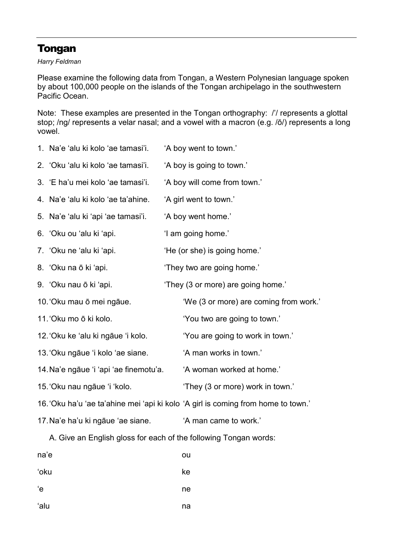## Tongan

Harry Feldman

Please examine the following data from Tongan, a Western Polynesian language spoken by about 100,000 people on the islands of the Tongan archipelago in the southwestern Pacific Ocean.

Note: These examples are presented in the Tongan orthography: /'/ represents a glottal stop; /ng/ represents a velar nasal; and a vowel with a macron (e.g. /ō/) represents a long vowel.

| 1. Na'e 'alu ki kolo 'ae tamasi'i.     | 'A boy went to town.'                                                             |
|----------------------------------------|-----------------------------------------------------------------------------------|
| 2. 'Oku 'alu ki kolo 'ae tamasi'i.     | 'A boy is going to town.'                                                         |
| 3. 'E ha'u mei kolo 'ae tamasi'i.      | 'A boy will come from town.'                                                      |
| 4. Na'e 'alu ki kolo 'ae ta'ahine.     | 'A girl went to town.'                                                            |
| 5. Na'e 'alu ki 'api 'ae tamasi'i.     | 'A boy went home.'                                                                |
| 6 'Oku ou 'alu ki 'api.                | 'I am going home.'                                                                |
| 7 'Oku ne 'alu ki 'api.                | 'He (or she) is going home.'                                                      |
| 8. 'Oku na ō ki 'api.                  | 'They two are going home.'                                                        |
| 9. 'Oku nau ō ki 'api.                 | 'They (3 or more) are going home.'                                                |
| 10. 'Oku mau ō mei ngāue.              | 'We (3 or more) are coming from work.'                                            |
| 11. 'Oku mo ō ki kolo.                 | 'You two are going to town.'                                                      |
| 12. 'Oku ke 'alu ki ngāue 'i kolo.     | 'You are going to work in town.'                                                  |
| 13. Oku ngāue 'i kolo 'ae siane.       | 'A man works in town.'                                                            |
| 14. Na'e ngāue 'i 'api 'ae finemotu'a. | 'A woman worked at home.'                                                         |
| 15. Oku nau ngāue 'i 'kolo.            | 'They (3 or more) work in town.'                                                  |
|                                        | 16. 'Oku ha'u 'ae ta'ahine mei 'api ki kolo 'A girl is coming from home to town.' |
| 17. Na'e ha'u ki ngāue 'ae siane.      | 'A man came to work.'                                                             |

A. Give an English gloss for each of the following Tongan words:

| na'e | ou |
|------|----|
| 'oku | ke |
| ʻe   | ne |
| ʻalu | na |